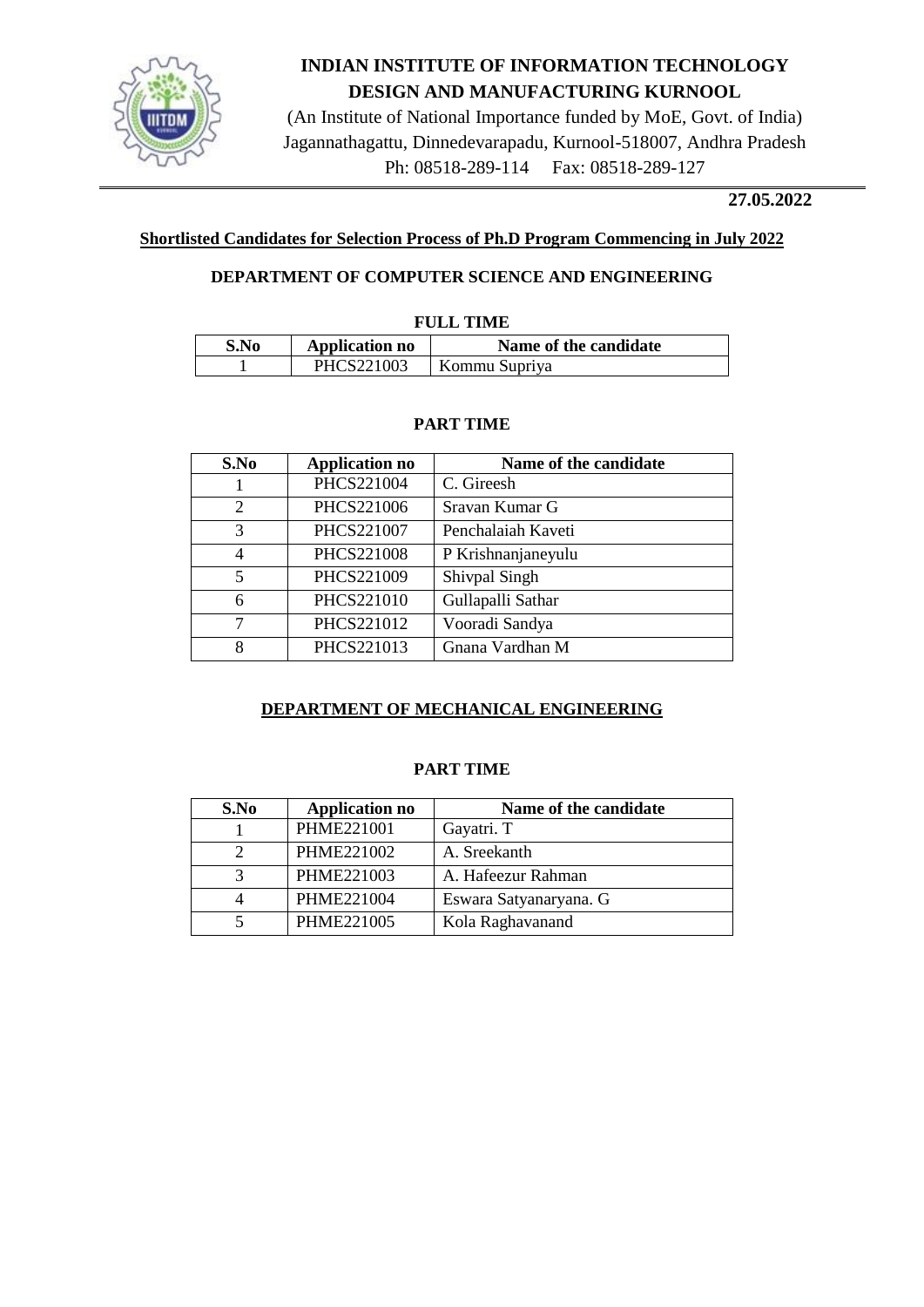

# **INDIAN INSTITUTE OF INFORMATION TECHNOLOGY DESIGN AND MANUFACTURING KURNOOL**

(An Institute of National Importance funded by MoE, Govt. of India) Jagannathagattu, Dinnedevarapadu, Kurnool-518007, Andhra Pradesh Ph: 08518-289-114 Fax: 08518-289-127

**27.05.2022**

#### **Shortlisted Candidates for Selection Process of Ph.D Program Commencing in July 2022**

## **DEPARTMENT OF COMPUTER SCIENCE AND ENGINEERING**

| томи тими |                       |                       |
|-----------|-----------------------|-----------------------|
| S.No      | <b>Application no</b> | Name of the candidate |
|           | PHCS221003            | Kommu Supriya         |

**FULL TIME** 

#### **PART TIME**

| S.No           | <b>Application no</b> | Name of the candidate |
|----------------|-----------------------|-----------------------|
|                | PHCS221004            | C. Gireesh            |
| $\overline{2}$ | PHCS221006            | Sravan Kumar G        |
| 3              | PHCS221007            | Penchalaiah Kaveti    |
| 4              | <b>PHCS221008</b>     | P Krishnanjaneyulu    |
| 5              | PHCS221009            | Shivpal Singh         |
| 6              | PHCS221010            | Gullapalli Sathar     |
| 7              | PHCS221012            | Vooradi Sandya        |
| 8              | PHCS221013            | Gnana Vardhan M       |

## **DEPARTMENT OF MECHANICAL ENGINEERING**

## **PART TIME**

| S.No | <b>Application no</b> | Name of the candidate  |
|------|-----------------------|------------------------|
|      | PHME221001            | Gayatri. T             |
| ∍    | PHME221002            | A. Sreekanth           |
| 3    | PHME221003            | A. Hafeezur Rahman     |
| 4    | PHME221004            | Eswara Satyanaryana. G |
|      | PHME221005            | Kola Raghavanand       |